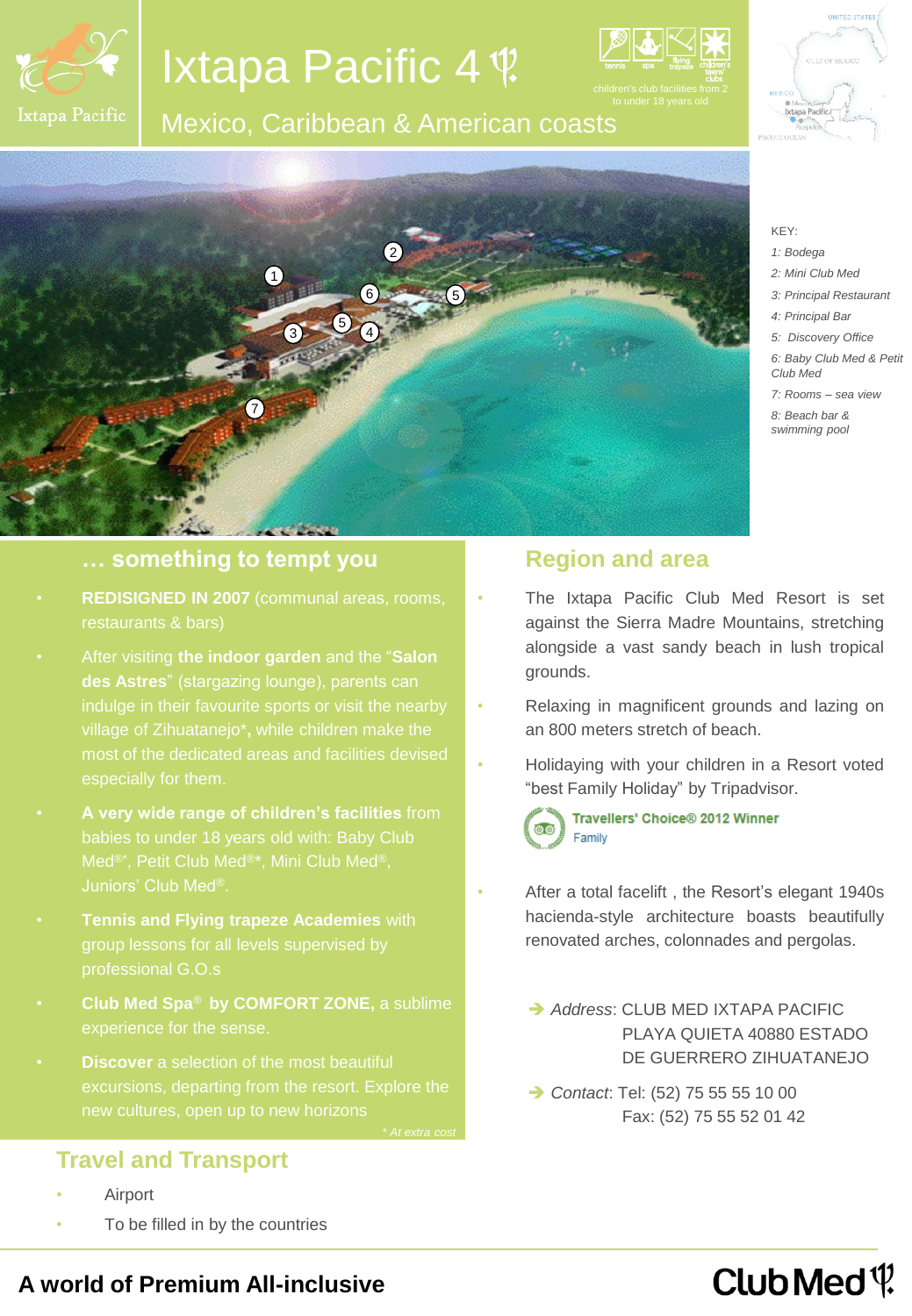

# Ixtapa Pacific 4

## Mexico, Caribbean & American coasts





## **… something to tempt you**

- **REDISIGNED IN 2007** (communal areas, rooms, restaurants & bars)
- After visiting **the indoor garden** and the "**Salon**
- **A very wide range of children's facilities** from babies to under 18 years old with: Baby Club Juniors' Club Med®.
- **Tennis and Flying trapeze Academies** with professional G.O.s
- **Club Med Spa**® **by COMFORT ZONE,** a sublime
- **Discover** a selection of the most beautiful

## **Region and area**

- The Ixtapa Pacific Club Med Resort is set against the Sierra Madre Mountains, stretching alongside a vast sandy beach in lush tropical grounds.
- Relaxing in magnificent grounds and lazing on an 800 meters stretch of beach.
- Holidaying with your children in a Resort voted "best Family Holiday" by Tripadvisor.

Travellers' Choice® 2012 Winner Family

- After a total facelift, the Resort's elegant 1940s hacienda-style architecture boasts beautifully renovated arches, colonnades and pergolas.
	- **→ Address: CLUB MED IXTAPA PACIFIC**  PLAYA QUIETA 40880 ESTADO DE GUERRERO ZIHUATANEJO
	- **→ Contact: Tel: (52) 75 55 55 10 00** Fax: (52) 75 55 52 01 42

## Club Med  $\Psi$

## **A world of Premium All-inclusive**

To be filled in by the countries

**Travel and Transport**

**Airport** 



KEY: *1: Bodega 2: Mini Club Med 3: Principal Restaurant 4: Principal Bar 5: Discovery Office 6: Baby Club Med & Petit* 

*Club Med*

*7: Rooms – sea view 8: Beach bar & swimming pool*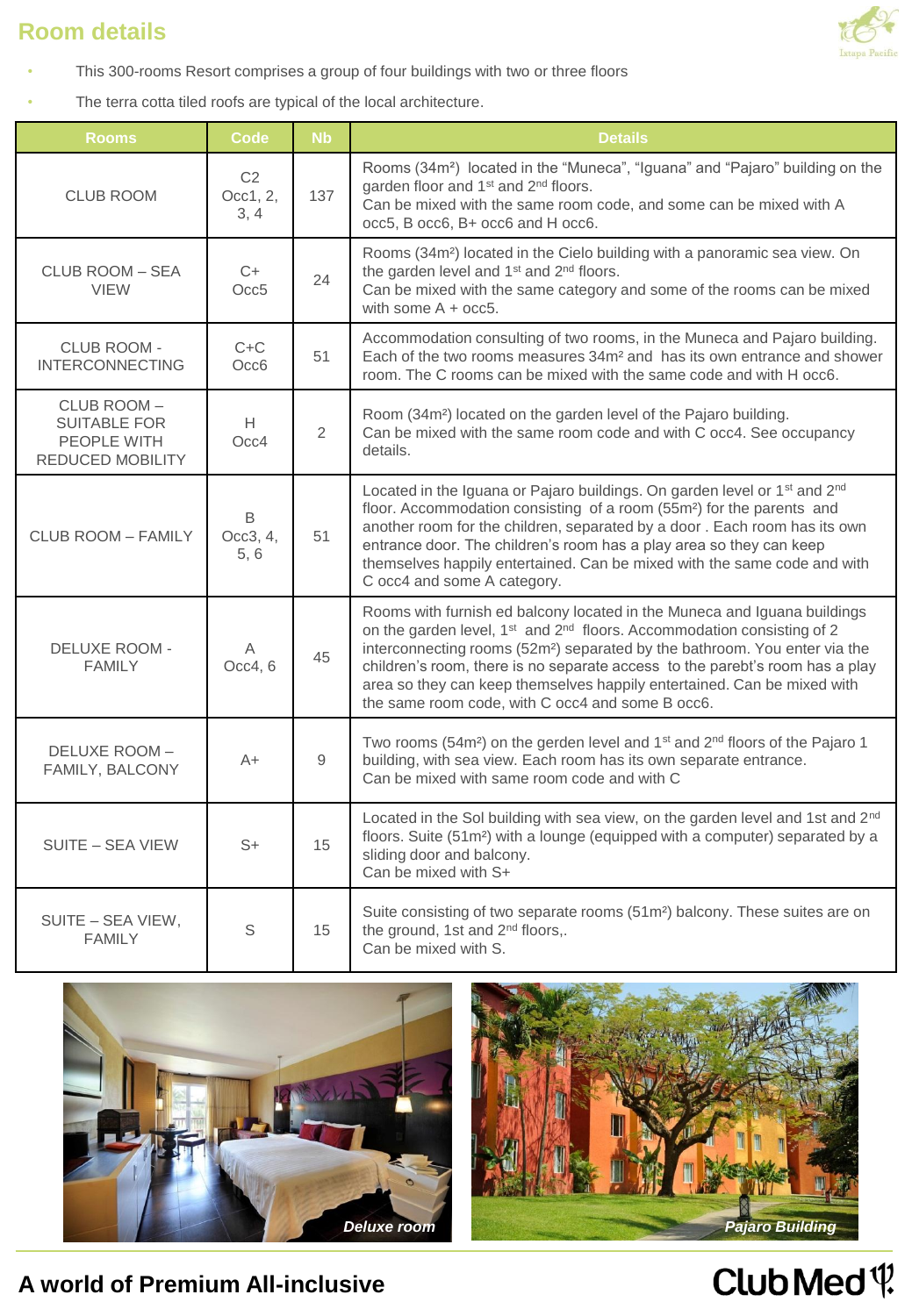## **Room details**



- This 300-rooms Resort comprises a group of four buildings with two or three floors
- The terra cotta tiled roofs are typical of the local architecture.

| <b>Rooms</b>                                                                | <b>Code</b>                        | <b>Nb</b>      | <b>Details</b>                                                                                                                                                                                                                                                                                                                                                                                                                                                                      |
|-----------------------------------------------------------------------------|------------------------------------|----------------|-------------------------------------------------------------------------------------------------------------------------------------------------------------------------------------------------------------------------------------------------------------------------------------------------------------------------------------------------------------------------------------------------------------------------------------------------------------------------------------|
| <b>CLUB ROOM</b>                                                            | C <sub>2</sub><br>Occ1, 2,<br>3, 4 | 137            | Rooms (34m <sup>2</sup> ) located in the "Muneca", "Iguana" and "Pajaro" building on the<br>garden floor and 1 <sup>st</sup> and 2 <sup>nd</sup> floors.<br>Can be mixed with the same room code, and some can be mixed with A<br>occ5, B occ6, B+ occ6 and H occ6.                                                                                                                                                                                                                 |
| CLUB ROOM – SEA<br><b>VIEW</b>                                              | C+<br>Occ5                         | 24             | Rooms (34m <sup>2</sup> ) located in the Cielo building with a panoramic sea view. On<br>the garden level and 1 <sup>st</sup> and 2 <sup>nd</sup> floors.<br>Can be mixed with the same category and some of the rooms can be mixed<br>with some $A + occ5$ .                                                                                                                                                                                                                       |
| CLUB ROOM -<br><b>INTERCONNECTING</b>                                       | $C+C$<br>Occ6                      | 51             | Accommodation consulting of two rooms, in the Muneca and Pajaro building.<br>Each of the two rooms measures 34m <sup>2</sup> and has its own entrance and shower<br>room. The C rooms can be mixed with the same code and with H occ6.                                                                                                                                                                                                                                              |
| CLUB ROOM-<br><b>SUITABLE FOR</b><br>PEOPLE WITH<br><b>REDUCED MOBILITY</b> | H.<br>Occ4                         | $\overline{2}$ | Room (34m <sup>2</sup> ) located on the garden level of the Pajaro building.<br>Can be mixed with the same room code and with C occ4. See occupancy<br>details.                                                                                                                                                                                                                                                                                                                     |
| CLUB ROOM - FAMILY                                                          | В<br>Occ3, 4,<br>5,6               | 51             | Located in the Iguana or Pajaro buildings. On garden level or 1 <sup>st</sup> and 2 <sup>nd</sup><br>floor. Accommodation consisting of a room (55m <sup>2</sup> ) for the parents and<br>another room for the children, separated by a door . Each room has its own<br>entrance door. The children's room has a play area so they can keep<br>themselves happily entertained. Can be mixed with the same code and with<br>C occ4 and some A category.                              |
| <b>DELUXE ROOM -</b><br><b>FAMILY</b>                                       | Α<br>Occ4, 6                       | 45             | Rooms with furnish ed balcony located in the Muneca and Iguana buildings<br>on the garden level, 1 <sup>st</sup> and 2 <sup>nd</sup> floors. Accommodation consisting of 2<br>interconnecting rooms (52m <sup>2</sup> ) separated by the bathroom. You enter via the<br>children's room, there is no separate access to the parebt's room has a play<br>area so they can keep themselves happily entertained. Can be mixed with<br>the same room code, with C occ4 and some B occ6. |
| DELUXE ROOM-<br>FAMILY, BALCONY                                             | A+                                 | 9              | Two rooms (54m <sup>2</sup> ) on the gerden level and 1 <sup>st</sup> and 2 <sup>nd</sup> floors of the Pajaro 1<br>building, with sea view. Each room has its own separate entrance.<br>Can be mixed with same room code and with C                                                                                                                                                                                                                                                |
| SUITE - SEA VIEW                                                            | $S+$                               | 15             | Located in the Sol building with sea view, on the garden level and 1st and 2nd<br>floors. Suite (51m <sup>2</sup> ) with a lounge (equipped with a computer) separated by a<br>sliding door and balcony.<br>Can be mixed with S+                                                                                                                                                                                                                                                    |
| SUITE - SEA VIEW,<br><b>FAMILY</b>                                          | S                                  | 15             | Suite consisting of two separate rooms (51m <sup>2</sup> ) balcony. These suites are on<br>the ground, 1st and 2 <sup>nd</sup> floors,.<br>Can be mixed with S.                                                                                                                                                                                                                                                                                                                     |





**A world of Premium All-inclusive** 

# Club Med<sup>{</sup>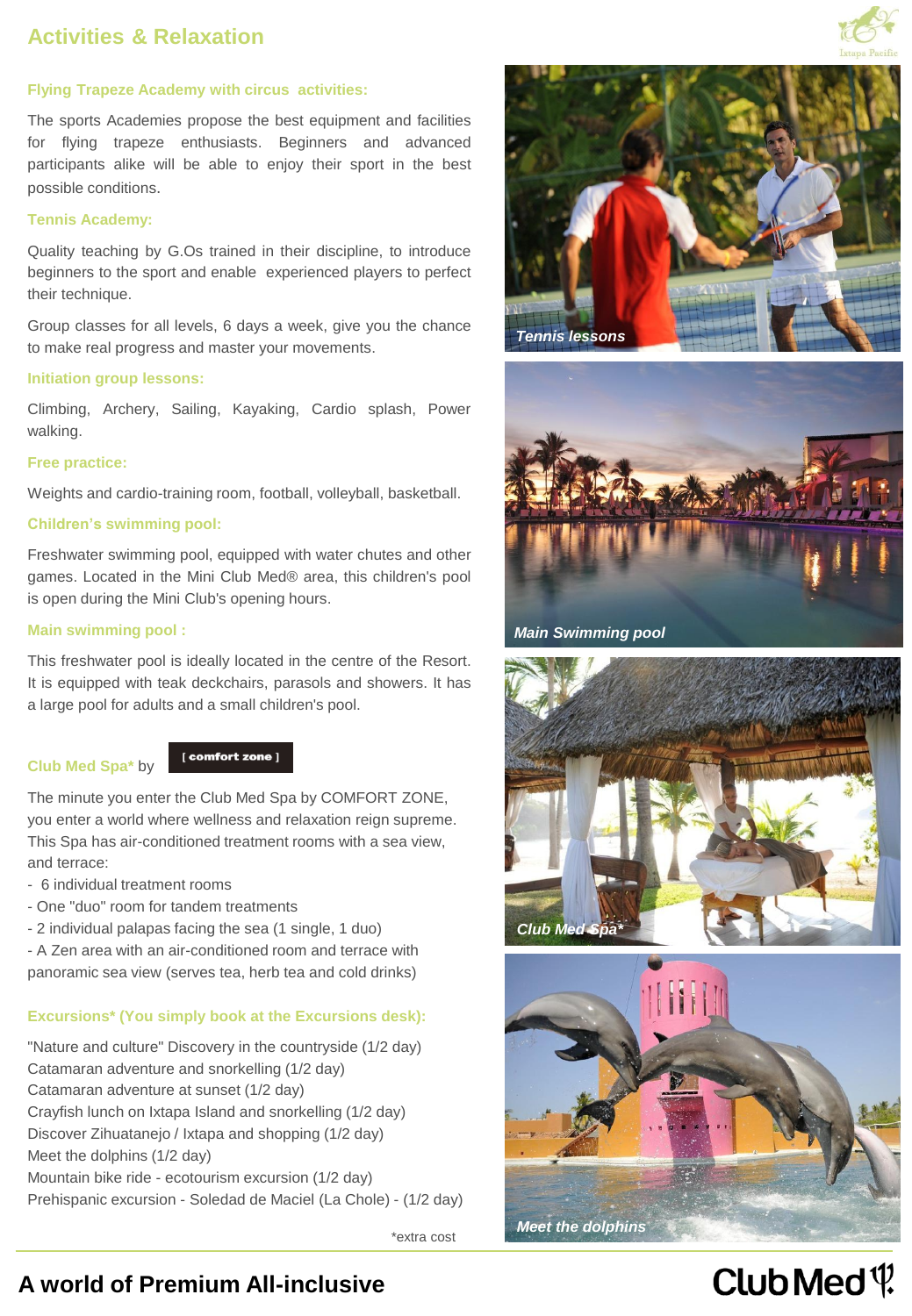## **Activities & Relaxation**



## **Flying Trapeze Academy with circus activities:**

The sports Academies propose the best equipment and facilities for flying trapeze enthusiasts. Beginners and advanced participants alike will be able to enjoy their sport in the best possible conditions.

#### **Tennis Academy:**

Quality teaching by G.Os trained in their discipline, to introduce beginners to the sport and enable experienced players to perfect their technique.

Group classes for all levels, 6 days a week, give you the chance to make real progress and master your movements.

#### **Initiation group lessons:**

Climbing, Archery, Sailing, Kayaking, Cardio splash, Power walking.

### **Free practice:**

Weights and cardio-training room, football, volleyball, basketball.

## **Children's swimming pool:**

Freshwater swimming pool, equipped with water chutes and other games. Located in the Mini Club Med® area, this children's pool is open during the Mini Club's opening hours.

## **Main swimming pool :**

This freshwater pool is ideally located in the centre of the Resort. It is equipped with teak deckchairs, parasols and showers. It has a large pool for adults and a small children's pool.

## **Club Med Spa\*** by



The minute you enter the Club Med Spa by COMFORT ZONE, you enter a world where wellness and relaxation reign supreme. This Spa has air-conditioned treatment rooms with a sea view, and terrace:

- 6 individual treatment rooms
- One "duo" room for tandem treatments
- 2 individual palapas facing the sea (1 single, 1 duo)

- A Zen area with an air-conditioned room and terrace with panoramic sea view (serves tea, herb tea and cold drinks)

## **Excursions\* (You simply book at the Excursions desk):**

"Nature and culture" Discovery in the countryside (1/2 day) Catamaran adventure and snorkelling (1/2 day) Catamaran adventure at sunset (1/2 day) Crayfish lunch on Ixtapa Island and snorkelling (1/2 day) Discover Zihuatanejo / Ixtapa and shopping (1/2 day) Meet the dolphins (1/2 day) Mountain bike ride - ecotourism excursion (1/2 day) Prehispanic excursion - Soledad de Maciel (La Chole) - (1/2 day)

\*extra cost





*Main Swimming pool*





# Club Med  $\Psi$

## **A world of Premium All-inclusive**